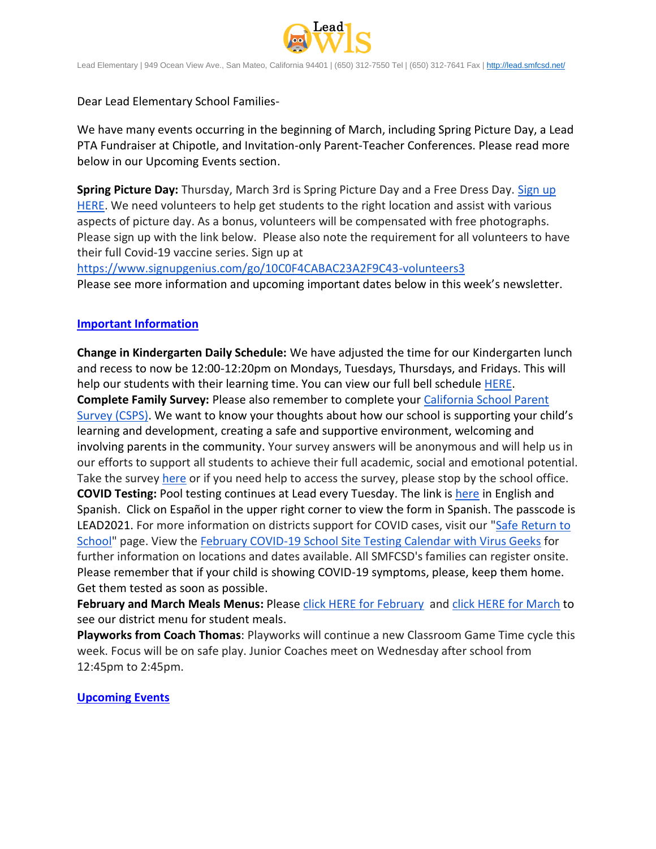

Lead Elementary | 949 Ocean View Ave., San Mateo, California 94401 | (650) 312-7550 Tel | (650) 312-7641 Fax [| http://lead.smfcsd.net/](http://lead.smfcsd.net/)

Dear Lead Elementary School Families-

We have many events occurring in the beginning of March, including Spring Picture Day, a Lead PTA Fundraiser at Chipotle, and Invitation-only Parent-Teacher Conferences. Please read more below in our Upcoming Events section.

**Spring Picture Day:** Thursday, March 3rd is Spring Picture Day and a Free Dress Day. [Sign up](https://docs.google.com/document/d/1xsPl1ayDrWf3fnpHGD01MZkz3eXnkjBE/edit?usp=sharing&ouid=107075042452841384799&rtpof=true&sd=true)  [HERE.](https://docs.google.com/document/d/1xsPl1ayDrWf3fnpHGD01MZkz3eXnkjBE/edit?usp=sharing&ouid=107075042452841384799&rtpof=true&sd=true) We need volunteers to help get students to the right location and assist with various aspects of picture day. As a bonus, volunteers will be compensated with free photographs. Please sign up with the link below. Please also note the requirement for all volunteers to have their full Covid-19 vaccine series. Sign up at

<https://www.signupgenius.com/go/10C0F4CABAC23A2F9C43-volunteers3> Please see more information and upcoming important dates below in this week's newsletter.

## **Important Information**

**Change in Kindergarten Daily Schedule:** We have adjusted the time for our Kindergarten lunch and recess to now be 12:00-12:20pm on Mondays, Tuesdays, Thursdays, and Fridays. This will help our students with their learning time. You can view our full bell schedule [HERE.](https://drive.google.com/file/d/1MubdqKmB9dvSEzOFFg_MljXu8Dclin1L/view?usp=sharing) **Complete Family Survey:** Please also remember to complete your [California School Parent](https://wested.ugam-apps.com/wed/ts/mqql)  [Survey \(CSPS\)](https://wested.ugam-apps.com/wed/ts/mqql). We want to know your thoughts about how our school is supporting your child's learning and development, creating a safe and supportive environment, welcoming and involving parents in the community. Your survey answers will be anonymous and will help us in our efforts to support all students to achieve their full academic, social and emotional potential. Take the survey [here](https://wested.ugam-apps.com/wed/ts/mqql) or if you need help to access the survey, please stop by the school office. **COVID Testing:** Pool testing continues at Lead every Tuesday. The link is [here](https://testcenter.concentricbyginkgo.com/minor-consent/) in English and Spanish. Click on Español in the upper right corner to view the form in Spanish. The passcode is LEAD2021. For more information on districts support for COVID cases, visit our ["Safe Return to](http://www.smfcsd.net/en/covid-19-updates-resources/covid-19-updates.html)  [School"](http://www.smfcsd.net/en/covid-19-updates-resources/covid-19-updates.html) page. View the [February COVID-19 School Site Testing Calendar with Virus Geeks](http://www.smfcsd.net/en/assets/files/Communications/COVID-19/COVID-19%20School%20Testing%20-%20February%202022.pdf) for further information on locations and dates available. All SMFCSD's families can register onsite. Please remember that if your child is showing COVID-19 symptoms, please, keep them home. Get them tested as soon as possible.

**February and March Meals Menus:** Please [click HERE for February](http://www.smfcsd.net/en/assets/files/Nutrition%20and%20School%20Meals/February%202022%20Menu.pdf) and [click HERE for March](https://drive.google.com/file/d/1I8hhsV4cMRD2tJaJ0yewpuZ-BIcTTJhA/view?usp=sharing) to see our district menu for student meals.

**Playworks from Coach Thomas**: Playworks will continue a new Classroom Game Time cycle this week. Focus will be on safe play. Junior Coaches meet on Wednesday after school from 12:45pm to 2:45pm.

## **Upcoming Events**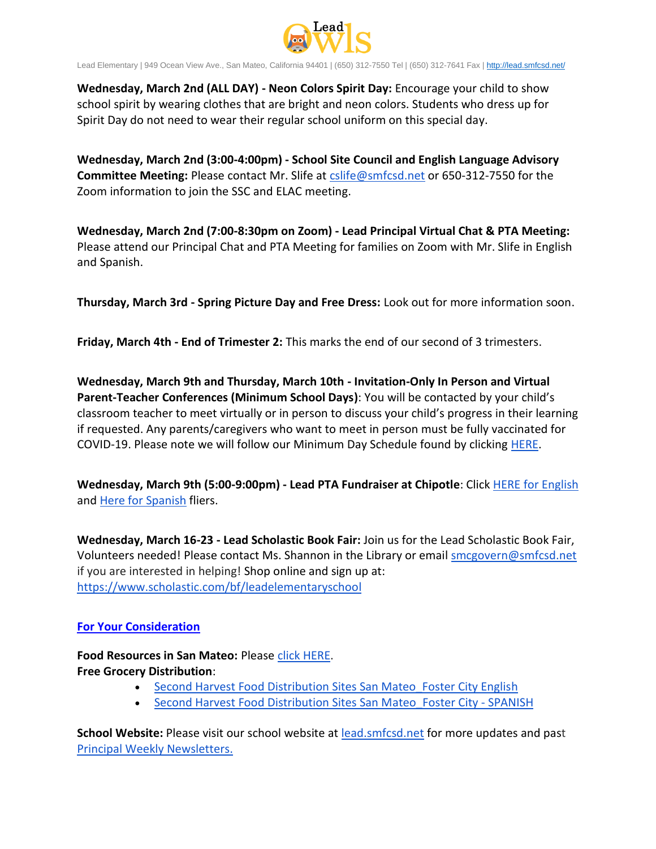

Lead Elementary | 949 Ocean View Ave., San Mateo, California 94401 | (650) 312-7550 Tel | (650) 312-7641 Fax [| http://lead.smfcsd.net/](http://lead.smfcsd.net/)

**Wednesday, March 2nd (ALL DAY) - Neon Colors Spirit Day:** Encourage your child to show school spirit by wearing clothes that are bright and neon colors. Students who dress up for Spirit Day do not need to wear their regular school uniform on this special day.

**Wednesday, March 2nd (3:00-4:00pm) - School Site Council and English Language Advisory Committee Meeting:** Please contact Mr. Slife at [cslife@smfcsd.net](mailto:cslife@smfcsd.net) or 650-312-7550 for the Zoom information to join the SSC and ELAC meeting.

**Wednesday, March 2nd (7:00-8:30pm on Zoom) - Lead Principal Virtual Chat & PTA Meeting:** Please attend our Principal Chat and PTA Meeting for families on Zoom with Mr. Slife in English and Spanish.

**Thursday, March 3rd - Spring Picture Day and Free Dress:** Look out for more information soon.

**Friday, March 4th - End of Trimester 2:** This marks the end of our second of 3 trimesters.

**Wednesday, March 9th and Thursday, March 10th - Invitation-Only In Person and Virtual Parent-Teacher Conferences (Minimum School Days)**: You will be contacted by your child's classroom teacher to meet virtually or in person to discuss your child's progress in their learning if requested. Any parents/caregivers who want to meet in person must be fully vaccinated for COVID-19. Please note we will follow our Minimum Day Schedule found by clicking [HERE.](https://drive.google.com/file/d/1MubdqKmB9dvSEzOFFg_MljXu8Dclin1L/view?usp=sharing)

**Wednesday, March 9th (5:00-9:00pm) - Lead PTA Fundraiser at Chipotle**: Click [HERE for English](https://drive.google.com/file/d/1PRckg-9g6hQhwkpwLt7vpS7LzbDLdxNH/view?usp=sharing) and [Here for Spanish](https://drive.google.com/file/d/1dje7bA2ctgxAhlE-vm9EGQckKUBgCnv6/view?usp=sharing) fliers.

**Wednesday, March 16-23 - Lead Scholastic Book Fair:** Join us for the Lead Scholastic Book Fair, Volunteers needed! Please contact Ms. Shannon in the Library or email [smcgovern@smfcsd.net](mailto:smcgovern@smfcsd.net) if you are interested in helping! Shop online and sign up at: <https://www.scholastic.com/bf/leadelementaryschool>

## **For Your Consideration**

**Food Resources in San Mateo:** Please [click HERE.](https://drive.google.com/file/d/1mtpojdbgajksxnvTGi7Tg1Zi4V5kUkYI/view?usp=sharing) **Free Grocery Distribution**:

- Second Harvest Food Distribution Sites San Mateo Foster City English
- Second Harvest Food Distribution Sites San Mateo Foster City SPANISH

**School Website:** Please visit our school website at [lead.smfcsd.net](https://lead.smfcsd.net/) for more updates and past [Principal Weekly Newsletters.](https://lead.smfcsd.net/about-lead/weekly-newsletter.html)